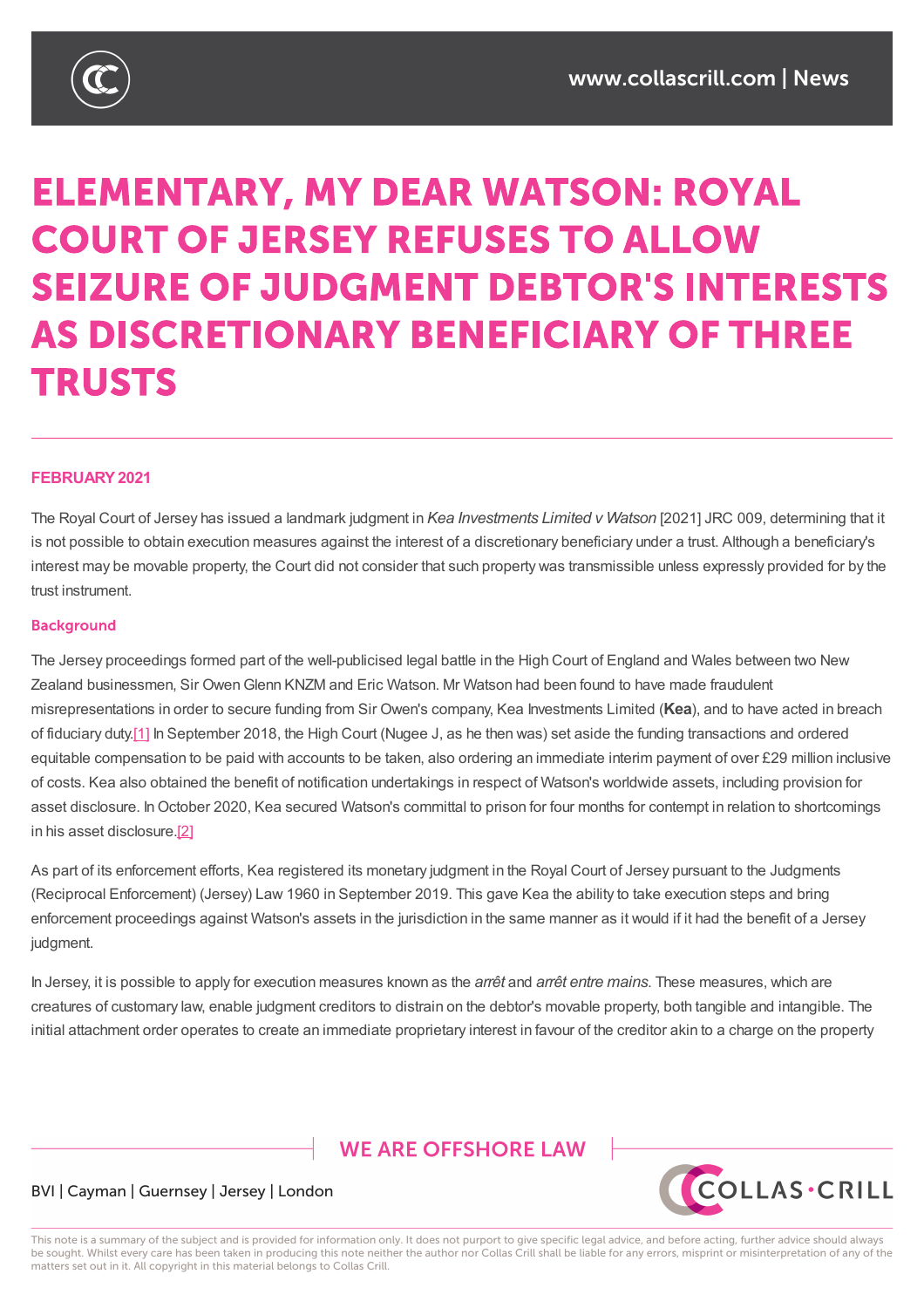

# **ELEMENTARY, MY DEAR WATSON: ROYAL COURT OF JERSEY REFUSES TO ALLOW SEIZURE OF JUDGMENT DEBTOR'S INTERESTS AS DISCRETIONARY BENEFICIARY OF THREE TRUSTS**

### **FEBRUARY2021**

The Royal Court of Jersey has issued a landmark judgment in *Kea Investments Limited v Watson* [2021] JRC 009, determining that it is not possible to obtain execution measures against the interest of a discretionary beneficiary under a trust. Although a beneficiary's interest may be movable property, the Court did not consider that such property was transmissible unless expressly provided for by the trust instrument.

### **Background**

The Jersey proceedings formed part of the well-publicised legal battle in the High Court of England and Wales between two New Zealand businessmen, Sir OwenGlenn KNZM and Eric Watson. Mr Watson had been found to have made fraudulent misrepresentations in order to secure funding from Sir Owen's company, Kea Investments Limited (**Kea**), and to have acted in breach of fiduciary duty.[1] In September 2018, the High Court (Nugee J, as he then was) set aside the funding transactions and ordered equitable compensation to be paid with accounts to be taken, also ordering an immediate interim payment of over £29 million inclusive of costs. Kea also obtained the benefit of notification undertakings in respect of Watson's worldwide assets, including provision for asset disclosur[e.](https://www.collascrill.com/news-updates/articles/elementary-my-dear-watson-royal-court-of-jersey-refuses-to-allow-seizure-of-judgment-debtors-interests-as-discretionary-beneficiary-of-three-trusts/?altTemplate=pdfDocument#_ftn1) In October 2020, Kea secured Watson's committal to prison for four months for contempt in relation to shortcomings in his asset disclosure.[2]

As part of its enforcement efforts, Kea registered its monetary judgment in the Royal Court of Jersey pursuant to the Judgments (Reciprocal Enforcement) (Jersey) Law 1960 in September 2019. This gave Kea the ability to take execution steps and bring enforcement proceedi[ngs](https://www.collascrill.com/news-updates/articles/elementary-my-dear-watson-royal-court-of-jersey-refuses-to-allow-seizure-of-judgment-debtors-interests-as-discretionary-beneficiary-of-three-trusts/?altTemplate=pdfDocument#_ftn2) against Watson's assets in the jurisdiction in the same manner as it would if it had the benefit of a Jersey judgment.

In Jersey, it is possible to apply for execution measures known as the *arrêt* and *arrêt entre mains*. These measures, which are creatures of customary law, enable judgment creditors to distrain on the debtor's movable property, both tangible and intangible. The initial attachment order operates to create an immediate proprietary interest in favour of the creditor akin to a charge on the property

# **WE ARE OFFSHORE LAW**



### BVI | Cayman | Guernsey | Jersey | London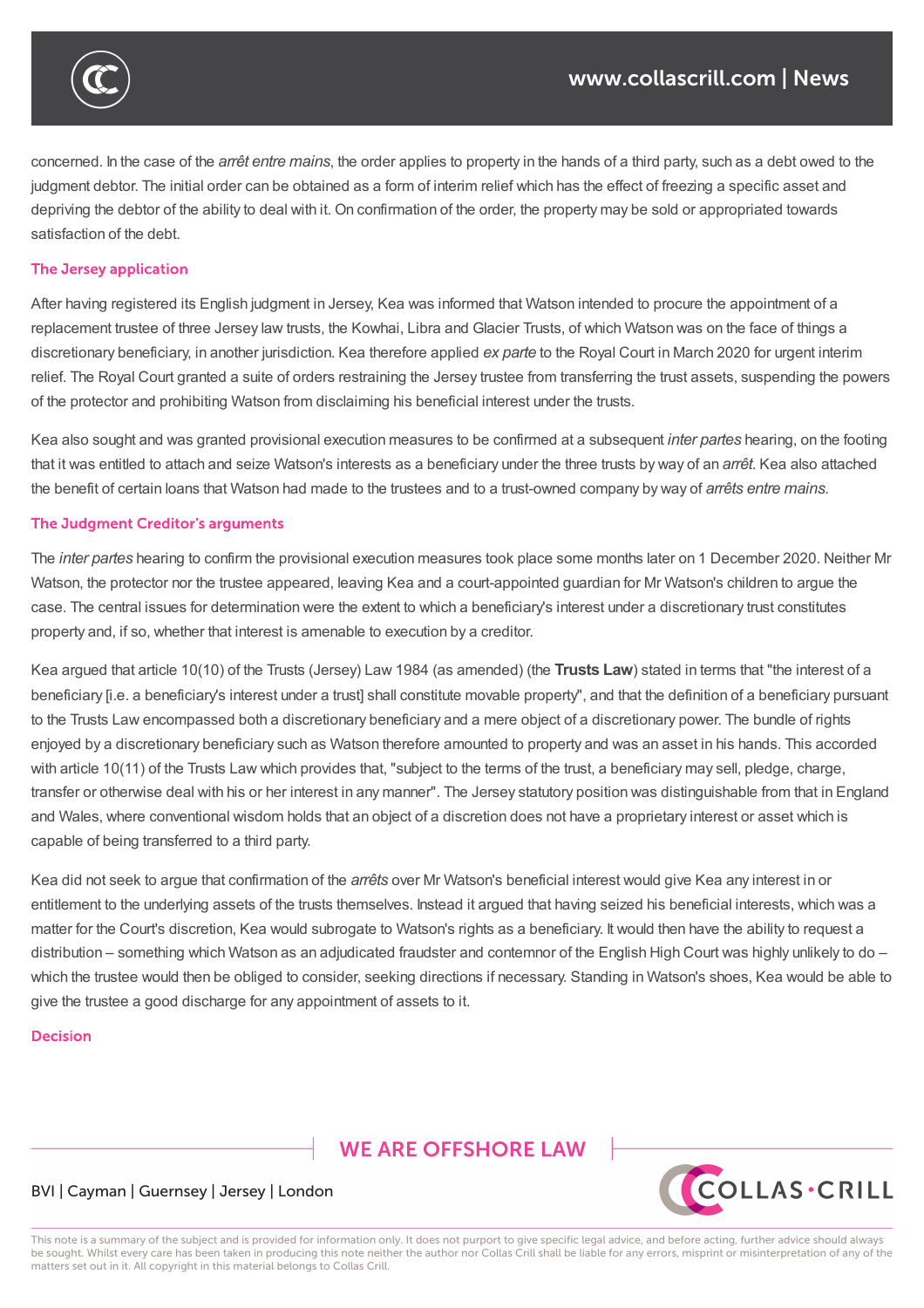concerned. In the case of the *arrêt entre mains*, the order applies to property in the hands of a third party, such as a debt owed to the judgment debtor. The initial order can be obtained as a form of interim relief which has the effect of freezing a specific asset and depriving the debtor of the ability to deal with it. On confirmation of the order, the property may be sold or appropriated towards satisfaction of the debt.

initial attachment order operates to create an immediate proprietary interest in favour of the creditor akin to a charge on the property

## The Jersey application

judgment.

After having registered its English judgment in Jersey, Kea was informed that Watson intended to procure the appointment of a replacement trustee of three Jersey law trusts, the Kowhai, Libra and Glacier Trusts, of which Watson was on the face of things a discretionary beneficiary, in another jurisdiction. Kea therefore applied *ex parte* to the Royal Court in March 2020 for urgent interim relief. The Royal Court granted a suite of orders restraining the Jersey trustee from transferring the trust assets, suspending the powers of the protector and prohibiting Watson from disclaiming his beneficial interest under the trusts.

Kea also sought and was granted provisional execution measures to be confirmed at a subsequent *inter partes* hearing, on the footing that it was entitled to attach and seize Watson's interests as a beneficiary under the three trusts by way of an *arrêt*. Kea also attached the benefit of certain loans that Watson had made to the trustees and to a trust-owned company by way of *arrêts entre mains*.

### The Judgment Creditor's arguments

The *inter partes* hearing to confirm the provisional execution measures took place some months later on 1 December 2020. Neither Mr Watson, the protector nor the trustee appeared, leaving Kea and a court-appointed guardian for Mr Watson's children to argue the case. The central issues for determination were the extent to which a beneficiary's interest under a discretionary trust constitutes property and, if so, whether that interest is amenable to execution by a creditor.

Kea argued that article 10(10) of the Trusts (Jersey) Law 1984 (as amended) (the **Trusts Law**) stated in terms that "the interest of a beneficiary [i.e. a beneficiary's interest under a trust] shall constitute movable property", and that the definition of a beneficiary pursuant to the Trusts Law encompassed both a discretionary beneficiary and a mere object of a discretionary power. The bundle of rights enjoyed by a discretionary beneficiary such as Watson therefore amounted to property and was an asset in his hands. This accorded with article 10(11) of the Trusts Law which provides that, "subject to the terms of the trust, a beneficiary may sell, pledge, charge, transfer or otherwise deal with his or her interest in any manner". The Jersey statutory position was distinguishable from that in England and Wales, where conventional wisdom holds that an object of a discretion does not have a proprietary interest or asset which is capable of being transferred to a third party.

Kea did not seek to argue that confirmation of the *arrêts* over Mr Watson's beneficial interest would give Kea any interest in or entitlement to the underlying assets of the trusts themselves. Instead it argued that having seized his beneficial interests, which was a matter for the Court's discretion. Kea would subrogate to Watson's rights as a beneficiary. It would then have the ability to request a distribution – something which Watson as an adjudicated fraudster and contemnor of the English High Court was highly unlikely to do – which the trustee would then be obliged to consider, seeking directions if necessary. Standing in Watson's shoes, Kea would be able to give the trustee a good discharge for any appointment of assets to it.

#### Decision

# **WE ARE OFFSHORE LAW**



### BVI | Cayman | Guernsey | Jersey | London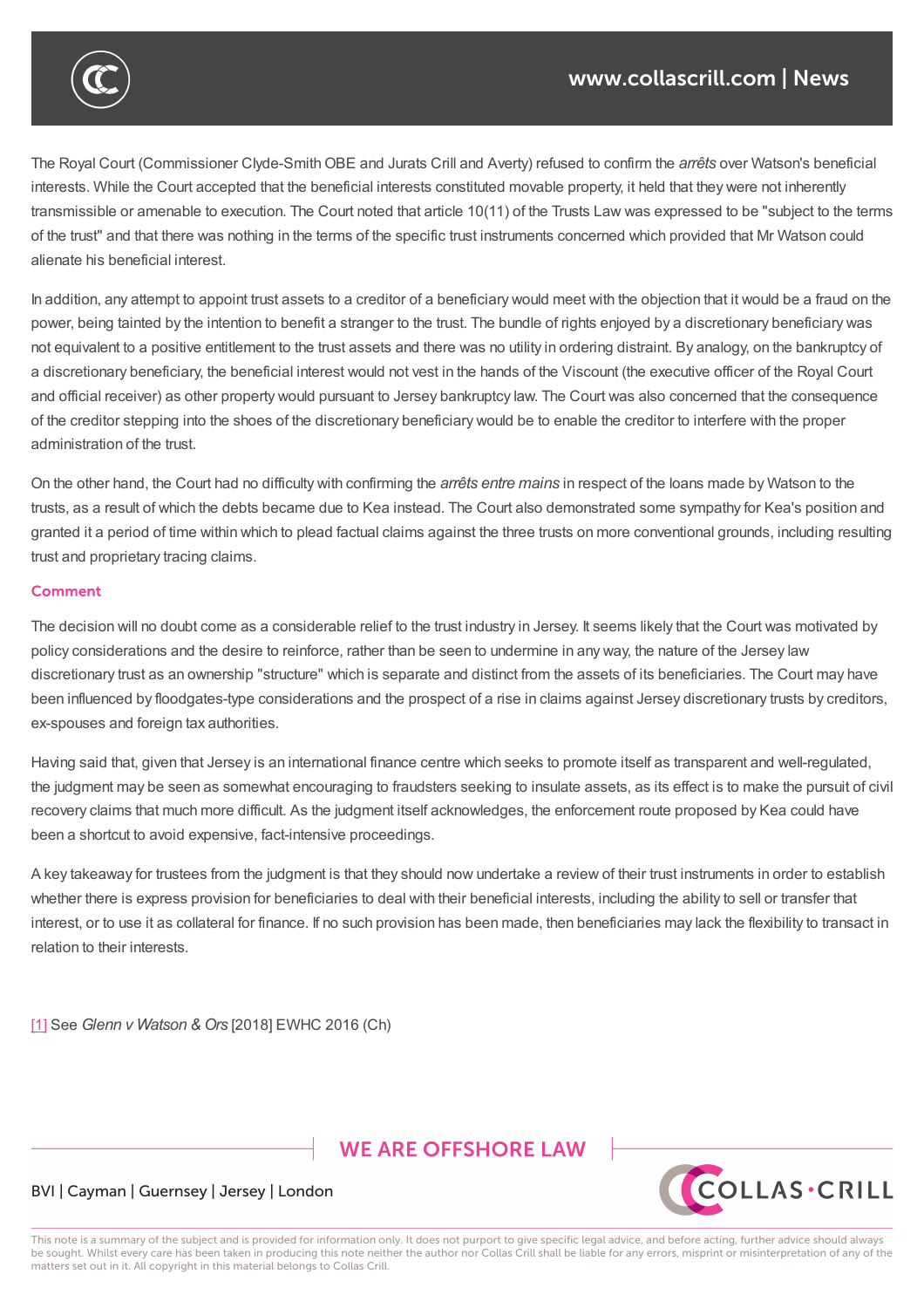The Royal Court (Commissioner Clyde-Smith OBE and Jurats Crill and Averty) refused to confirm the *arrêts* over Watson's beneficial interests. While the Court accepted that the beneficial interests constituted movable property, it held that they were not inherently transmissible or amenable to execution. The Court noted that article 10(11) of the Trusts Law was expressed to be "subject to the terms of the trust" and that there was nothing in the terms of the specific trust instruments concerned which provided that Mr Watson could alienate his beneficial interest.

In addition, any attempt to appoint trust assets to a creditor of a beneficiary would meet with the objection that it would be a fraud on the power, being tainted by the intention to benefit a stranger to the trust. The bundle of rights enjoyed by a discretionary beneficiary was not equivalent to a positive entitlement to the trust assets and there was no utility in ordering distraint. By analogy, on the bankruptcy of a discretionary beneficiary, the beneficial interest would not vest in the hands of the Viscount (the executive officer of the Royal Court and official receiver) as other property would pursuant to Jersey bankruptcy law. The Court was also concerned that the consequence of the creditor stepping into the shoes of the discretionary beneficiary would be to enable the creditor to interfere with the proper administration of the trust.

On the other hand, the Court had no difficulty with confirming the *arrêts entre mains* in respect of the loans made by Watson to the trusts, as a result of which the debts became due to Kea instead. The Court also demonstrated some sympathy for Kea's position and granted it a period of time within which to plead factual claims against the three trusts on more conventional grounds, including resulting trust and proprietary tracing claims.

#### **Comment**

The decision will no doubt come as a considerable relief to the trust industry in Jersey. It seems likely that the Court was motivated by policy considerations and the desire to reinforce, rather than be seen to undermine in any way, the nature of the Jersey law discretionary trust as an ownership "structure" which is separate and distinct from the assets of its beneficiaries. The Court may have been influenced by floodgates-type considerations and the prospect of a rise in claims against Jersey discretionary trusts by creditors, ex-spouses and foreign tax authorities.

Having said that, given that Jersey is an international finance centre which seeks to promote itself as transparent and well-regulated, the judgment may be seen as somewhat encouraging to fraudsters seeking to insulate assets, as its effect is to make the pursuit of civil recovery claims that much more difficult. As the judgment itself acknowledges, the enforcement route proposed by Kea could have been a shortcut to avoid expensive, fact-intensive proceedings.

A key takeaway for trustees from the judgment is that they should now undertake a review of their trust instruments in order to establish whether there is express provision for beneficiaries to deal with their beneficial interests, including the ability to sell or transfer that interest, or to use it as collateral for finance. If no such provision has been made, then beneficiaries may lack the flexibility to transact in relation to their interests.

[1] See *Glenn v Watson & Ors* [2018] EWHC 2016 (Ch)

# **WE ARE OFFSHORE LAW**



### BVI | Cayman | Guernsey | Jersey | London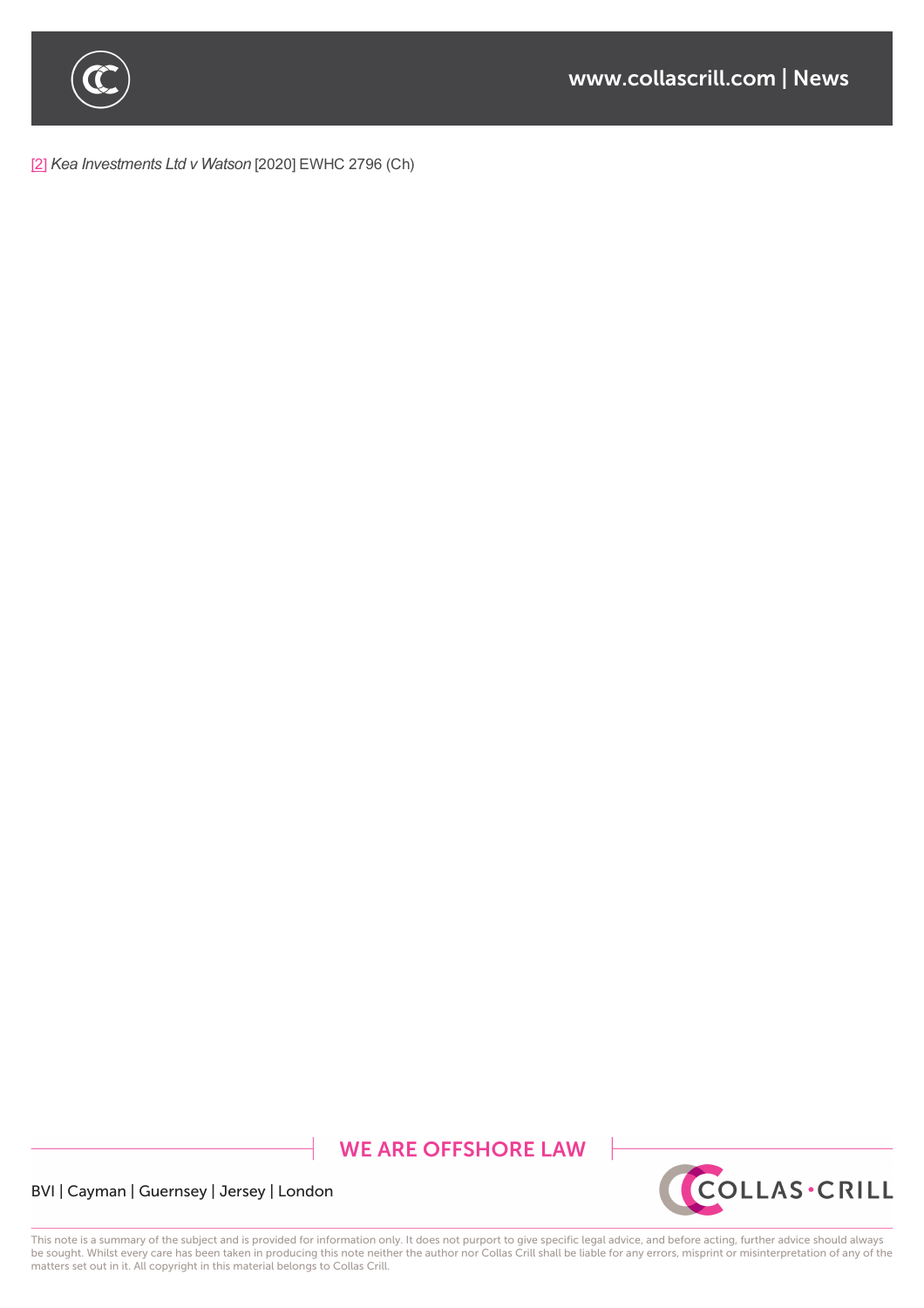

[2] *Kea Investments Ltd v Watson* [2020] EWHC 2796 (Ch)

# **WE ARE OFFSHORE LAW**